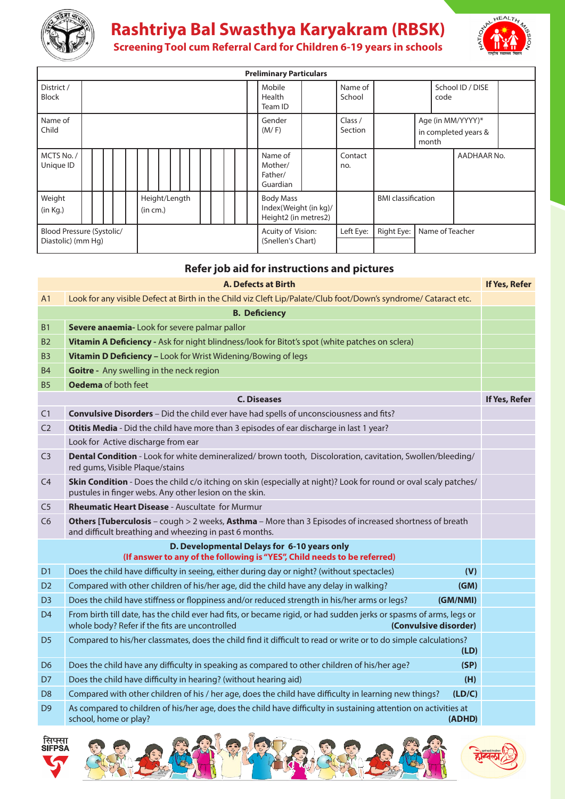

## **Rashtriya Bal Swasthya Karyakram (RBSK)**



**Screening Tool cum Referral card for children 6-19 years in schools**

| <b>Preliminary Particulars</b>                  |  |  |  |  |  |          |               |                 |                    |                                                    |  |                                        |                   |            |                                                                   |                |                           |  |  |             |  |
|-------------------------------------------------|--|--|--|--|--|----------|---------------|-----------------|--------------------|----------------------------------------------------|--|----------------------------------------|-------------------|------------|-------------------------------------------------------------------|----------------|---------------------------|--|--|-------------|--|
| District /<br><b>Block</b>                      |  |  |  |  |  |          |               |                 |                    |                                                    |  | Mobile<br>Health<br>Team ID            | Name of<br>School |            |                                                                   | code           | School ID / DISE          |  |  |             |  |
| Name of<br>Child                                |  |  |  |  |  |          |               | Gender<br>(M/F) | Class /<br>Section | Age (in MM/YYYY)*<br>in completed years &<br>month |  |                                        |                   |            |                                                                   |                |                           |  |  |             |  |
| MCTS No./<br>Unique ID                          |  |  |  |  |  |          |               |                 |                    |                                                    |  |                                        |                   |            | Name of<br>Mother/<br>Father/<br>Guardian                         | Contact<br>no. |                           |  |  | AADHAAR No. |  |
| Weight<br>(in Kg.)                              |  |  |  |  |  | (in cm.) | Height/Length |                 |                    |                                                    |  |                                        |                   |            | <b>Body Mass</b><br>Index(Weight (in kg)/<br>Height2 (in metres2) |                | <b>BMI</b> classification |  |  |             |  |
| Blood Pressure (Systolic/<br>Diastolic) (mm Hg) |  |  |  |  |  |          |               |                 |                    |                                                    |  | Acuity of Vision:<br>(Snellen's Chart) | Left Eye:         | Right Eye: |                                                                   |                | Name of Teacher           |  |  |             |  |

## **Refer job aid for instructions and pictures**

|                                                                                                                         | <b>A. Defects at Birth</b>                                                                                                                                                                    | If Yes, Refer |  |  |  |  |  |  |  |
|-------------------------------------------------------------------------------------------------------------------------|-----------------------------------------------------------------------------------------------------------------------------------------------------------------------------------------------|---------------|--|--|--|--|--|--|--|
| A <sub>1</sub>                                                                                                          | Look for any visible Defect at Birth in the Child viz Cleft Lip/Palate/Club foot/Down's syndrome/ Cataract etc.                                                                               |               |  |  |  |  |  |  |  |
|                                                                                                                         | <b>B. Deficiency</b>                                                                                                                                                                          |               |  |  |  |  |  |  |  |
| <b>B1</b>                                                                                                               | Severe anaemia-Look for severe palmar pallor                                                                                                                                                  |               |  |  |  |  |  |  |  |
| B <sub>2</sub>                                                                                                          | Vitamin A Deficiency - Ask for night blindness/look for Bitot's spot (white patches on sclera)                                                                                                |               |  |  |  |  |  |  |  |
| B <sub>3</sub>                                                                                                          | Vitamin D Deficiency - Look for Wrist Widening/Bowing of legs                                                                                                                                 |               |  |  |  |  |  |  |  |
| <b>B4</b>                                                                                                               | Goitre - Any swelling in the neck region                                                                                                                                                      |               |  |  |  |  |  |  |  |
| <b>B5</b>                                                                                                               | Oedema of both feet                                                                                                                                                                           |               |  |  |  |  |  |  |  |
|                                                                                                                         | <b>C. Diseases</b>                                                                                                                                                                            | If Yes, Refer |  |  |  |  |  |  |  |
| C1                                                                                                                      | Convulsive Disorders - Did the child ever have had spells of unconsciousness and fits?                                                                                                        |               |  |  |  |  |  |  |  |
| C <sub>2</sub>                                                                                                          | Otitis Media - Did the child have more than 3 episodes of ear discharge in last 1 year?                                                                                                       |               |  |  |  |  |  |  |  |
|                                                                                                                         | Look for Active discharge from ear                                                                                                                                                            |               |  |  |  |  |  |  |  |
| C <sub>3</sub>                                                                                                          | Dental Condition - Look for white demineralized/ brown tooth, Discoloration, cavitation, Swollen/bleeding/<br>red gums, Visible Plaque/stains                                                 |               |  |  |  |  |  |  |  |
| C <sub>4</sub>                                                                                                          | Skin Condition - Does the child c/o itching on skin (especially at night)? Look for round or oval scaly patches/<br>pustules in finger webs. Any other lesion on the skin.                    |               |  |  |  |  |  |  |  |
| C <sub>5</sub>                                                                                                          | <b>Rheumatic Heart Disease - Auscultate for Murmur</b>                                                                                                                                        |               |  |  |  |  |  |  |  |
| C <sub>6</sub>                                                                                                          | Others [Tuberculosis - cough > 2 weeks, Asthma - More than 3 Episodes of increased shortness of breath<br>and difficult breathing and wheezing in past 6 months.                              |               |  |  |  |  |  |  |  |
| D. Developmental Delays for 6-10 years only<br>(If answer to any of the following is "YES", Child needs to be referred) |                                                                                                                                                                                               |               |  |  |  |  |  |  |  |
| D <sub>1</sub>                                                                                                          | Does the child have difficulty in seeing, either during day or night? (without spectacles)<br>(V)                                                                                             |               |  |  |  |  |  |  |  |
| D <sub>2</sub>                                                                                                          | Compared with other children of his/her age, did the child have any delay in walking?<br>(GM)                                                                                                 |               |  |  |  |  |  |  |  |
| D <sub>3</sub>                                                                                                          | Does the child have stiffness or floppiness and/or reduced strength in his/her arms or legs?<br>(GM/NMI)                                                                                      |               |  |  |  |  |  |  |  |
| D <sub>4</sub>                                                                                                          | From birth till date, has the child ever had fits, or became rigid, or had sudden jerks or spasms of arms, legs or<br>whole body? Refer if the fits are uncontrolled<br>(Convulsive disorder) |               |  |  |  |  |  |  |  |
| D <sub>5</sub>                                                                                                          | Compared to his/her classmates, does the child find it difficult to read or write or to do simple calculations?<br>(LD)                                                                       |               |  |  |  |  |  |  |  |
| D <sub>6</sub>                                                                                                          | Does the child have any difficulty in speaking as compared to other children of his/her age?<br>(SP)                                                                                          |               |  |  |  |  |  |  |  |
| D7                                                                                                                      | Does the child have difficulty in hearing? (without hearing aid)<br>(H)                                                                                                                       |               |  |  |  |  |  |  |  |
| D <sub>8</sub>                                                                                                          | Compared with other children of his / her age, does the child have difficulty in learning new things?<br>(LD/C)                                                                               |               |  |  |  |  |  |  |  |
| D <sub>9</sub>                                                                                                          | As compared to children of his/her age, does the child have difficulty in sustaining attention on activities at<br>school, home or play?<br>(ADHD)                                            |               |  |  |  |  |  |  |  |